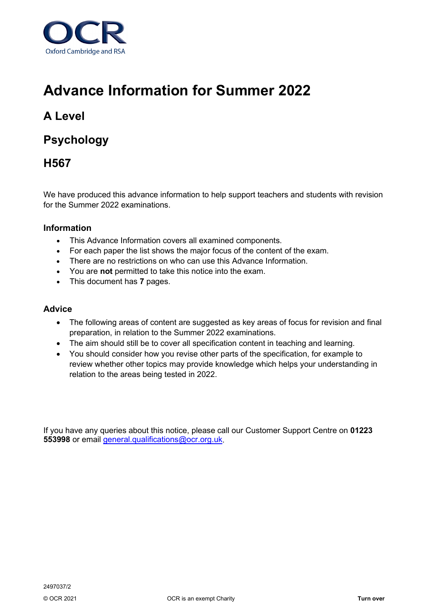

# **Advance Information for Summer 2022**

# **A Level**

# **Psychology**

## **H567**

We have produced this advance information to help support teachers and students with revision for the Summer 2022 examinations.

### **Information**

- This Advance Information covers all examined components.
- For each paper the list shows the major focus of the content of the exam.
- There are no restrictions on who can use this Advance Information.
- You are **not** permitted to take this notice into the exam.
- This document has **7** pages.

### **Advice**

- The following areas of content are suggested as key areas of focus for revision and final preparation, in relation to the Summer 2022 examinations.
- The aim should still be to cover all specification content in teaching and learning.
- You should consider how you revise other parts of the specification, for example to review whether other topics may provide knowledge which helps your understanding in relation to the areas being tested in 2022.

If you have any queries about this notice, please call our Customer Support Centre on **01223 553998** or email [general.qualifications@ocr.org.uk.](mailto:general.qualifications@ocr.org.uk)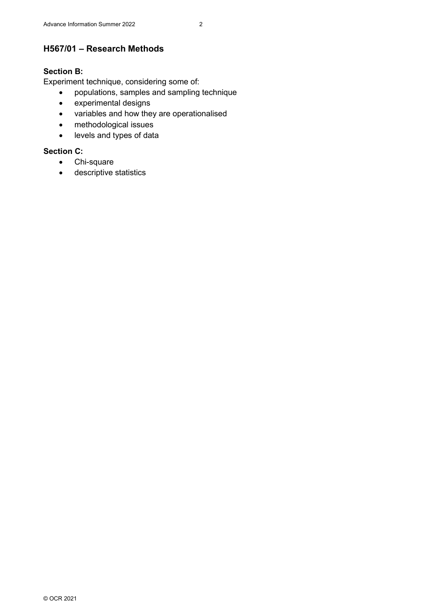### **H567/01 – Research Methods**

### **Section B:**

Experiment technique, considering some of:

- populations, samples and sampling technique
- experimental designs
- variables and how they are operationalised
- methodological issues
- levels and types of data

### **Section C:**

- Chi-square
- descriptive statistics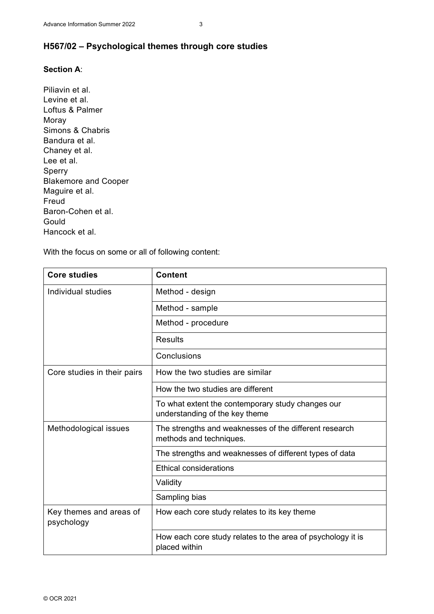### **H567/02 – Psychological themes through core studies**

### **Section A**:

Piliavin et al. Levine et al. Loftus & Palmer Moray Simons & Chabris Bandura et al. Chaney et al. Lee et al. Sperry Blakemore and Cooper Maguire et al. Freud Baron-Cohen et al. **Gould** Hancock et al.

With the focus on some or all of following content:

| <b>Core studies</b>                   | <b>Content</b>                                                                      |
|---------------------------------------|-------------------------------------------------------------------------------------|
| Individual studies                    | Method - design                                                                     |
|                                       | Method - sample                                                                     |
|                                       | Method - procedure                                                                  |
|                                       | <b>Results</b>                                                                      |
|                                       | Conclusions                                                                         |
| Core studies in their pairs           | How the two studies are similar                                                     |
|                                       | How the two studies are different                                                   |
|                                       | To what extent the contemporary study changes our<br>understanding of the key theme |
| Methodological issues                 | The strengths and weaknesses of the different research<br>methods and techniques.   |
|                                       | The strengths and weaknesses of different types of data                             |
|                                       | <b>Ethical considerations</b>                                                       |
|                                       | Validity                                                                            |
|                                       | Sampling bias                                                                       |
| Key themes and areas of<br>psychology | How each core study relates to its key theme                                        |
|                                       | How each core study relates to the area of psychology it is<br>placed within        |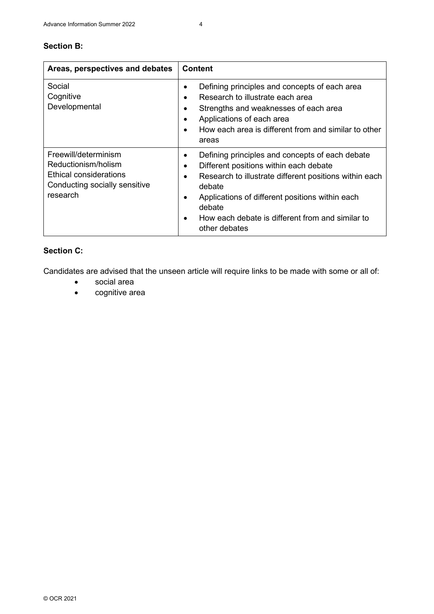| Areas, perspectives and debates                                                                                    | <b>Content</b>                                                                                                                                                                                                                                                                                       |
|--------------------------------------------------------------------------------------------------------------------|------------------------------------------------------------------------------------------------------------------------------------------------------------------------------------------------------------------------------------------------------------------------------------------------------|
| Social<br>Cognitive<br>Developmental                                                                               | Defining principles and concepts of each area<br>Research to illustrate each area<br>Strengths and weaknesses of each area<br>Applications of each area<br>How each area is different from and similar to other<br>areas                                                                             |
| Freewill/determinism<br>Reductionism/holism<br>Ethical considerations<br>Conducting socially sensitive<br>research | Defining principles and concepts of each debate<br>٠<br>Different positions within each debate<br>Research to illustrate different positions within each<br>debate<br>Applications of different positions within each<br>debate<br>How each debate is different from and similar to<br>other debates |

### **Section C:**

Candidates are advised that the unseen article will require links to be made with some or all of:

- social area
- cognitive area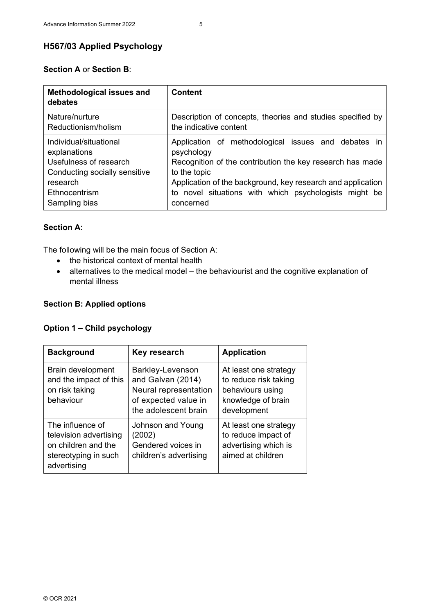### **H567/03 Applied Psychology**

### **Section A** or **Section B**:

| <b>Methodological issues and</b><br>debates | <b>Content</b>                                              |
|---------------------------------------------|-------------------------------------------------------------|
| Nature/nurture                              | Description of concepts, theories and studies specified by  |
| Reductionism/holism                         | the indicative content                                      |
| Individual/situational                      | Application of methodological issues and debates in         |
| explanations                                | psychology                                                  |
| Usefulness of research                      | Recognition of the contribution the key research has made   |
| Conducting socially sensitive               | to the topic                                                |
| research                                    | Application of the background, key research and application |
| Ethnocentrism                               | to novel situations with which psychologists might be       |
| Sampling bias                               | concerned                                                   |

#### **Section A:**

The following will be the main focus of Section A:

- the historical context of mental health
- alternatives to the medical model the behaviourist and the cognitive explanation of mental illness

### **Section B: Applied options**

#### **Option 1 – Child psychology**

| <b>Background</b>                                                                                        | Key research                                                                                                   | <b>Application</b>                                                                                      |
|----------------------------------------------------------------------------------------------------------|----------------------------------------------------------------------------------------------------------------|---------------------------------------------------------------------------------------------------------|
| Brain development<br>and the impact of this<br>on risk taking<br>behaviour                               | Barkley-Levenson<br>and Galvan (2014)<br>Neural representation<br>of expected value in<br>the adolescent brain | At least one strategy<br>to reduce risk taking<br>behaviours using<br>knowledge of brain<br>development |
| The influence of<br>television advertising<br>on children and the<br>stereotyping in such<br>advertising | Johnson and Young<br>(2002)<br>Gendered voices in<br>children's advertising                                    | At least one strategy<br>to reduce impact of<br>advertising which is<br>aimed at children               |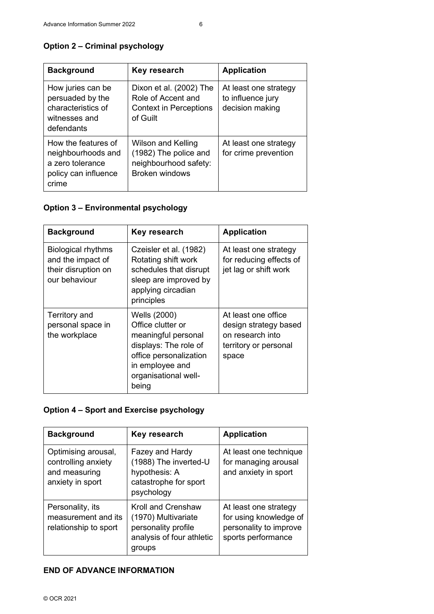| <b>Background</b>                                                                              | Key research                                                                                         | <b>Application</b>                                            |
|------------------------------------------------------------------------------------------------|------------------------------------------------------------------------------------------------------|---------------------------------------------------------------|
| How juries can be<br>persuaded by the<br>characteristics of<br>witnesses and<br>defendants     | Dixon et al. (2002) The<br>Role of Accent and<br><b>Context in Perceptions</b><br>of Guilt           | At least one strategy<br>to influence jury<br>decision making |
| How the features of<br>neighbourhoods and<br>a zero tolerance<br>policy can influence<br>crime | <b>Wilson and Kelling</b><br>(1982) The police and<br>neighbourhood safety:<br><b>Broken windows</b> | At least one strategy<br>for crime prevention                 |

### **Option 2 – Criminal psychology**

### **Option 3 – Environmental psychology**

| <b>Background</b>                                                                      | Key research                                                                                                                                                    | <b>Application</b>                                                                                 |
|----------------------------------------------------------------------------------------|-----------------------------------------------------------------------------------------------------------------------------------------------------------------|----------------------------------------------------------------------------------------------------|
| <b>Biological rhythms</b><br>and the impact of<br>their disruption on<br>our behaviour | Czeisler et al. (1982)<br>Rotating shift work<br>schedules that disrupt<br>sleep are improved by<br>applying circadian<br>principles                            | At least one strategy<br>for reducing effects of<br>jet lag or shift work                          |
| Territory and<br>personal space in<br>the workplace                                    | Wells (2000)<br>Office clutter or<br>meaningful personal<br>displays: The role of<br>office personalization<br>in employee and<br>organisational well-<br>being | At least one office<br>design strategy based<br>on research into<br>territory or personal<br>space |

### **Option 4 – Sport and Exercise psychology**

| <b>Background</b>                                                               | Key research                                                                                            | <b>Application</b>                                                                              |
|---------------------------------------------------------------------------------|---------------------------------------------------------------------------------------------------------|-------------------------------------------------------------------------------------------------|
| Optimising arousal,<br>controlling anxiety<br>and measuring<br>anxiety in sport | Fazey and Hardy<br>(1988) The inverted-U<br>hypothesis: A<br>catastrophe for sport<br>psychology        | At least one technique<br>for managing arousal<br>and anxiety in sport                          |
| Personality, its<br>measurement and its<br>relationship to sport                | Kroll and Crenshaw<br>(1970) Multivariate<br>personality profile<br>analysis of four athletic<br>groups | At least one strategy<br>for using knowledge of<br>personality to improve<br>sports performance |

### **END OF ADVANCE INFORMATION**